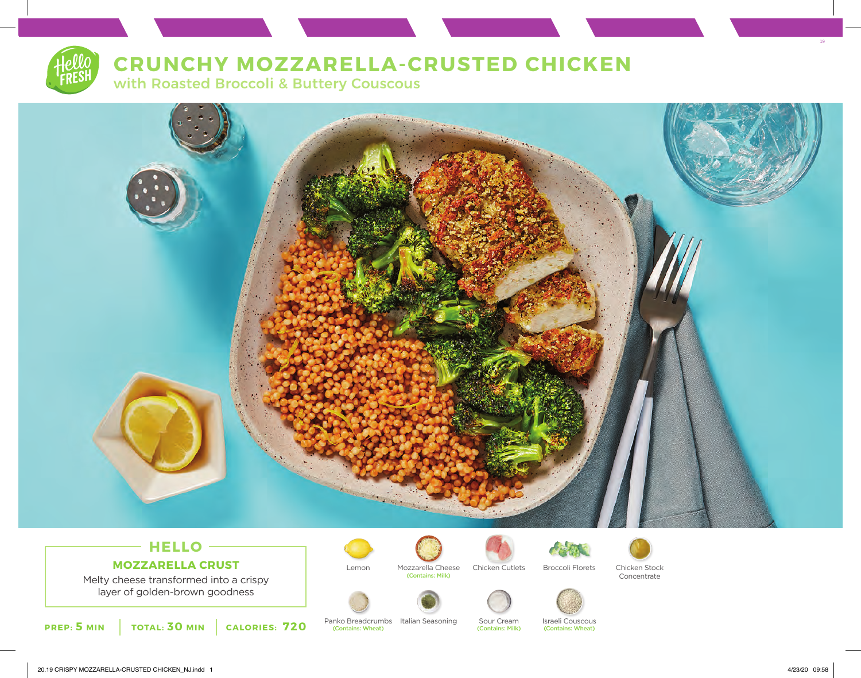# **CRUNCHY MOZZARELLA-CRUSTED CHICKEN**

with Roasted Broccoli & Buttery Couscous



# **HELLO MOZZARELLA CRUST**

Melty cheese transformed into a crispy layer of golden-brown goodness

**PREP: 5 MIN TOTAL: 30 MIN CALORIES: 720**







Lemon Mozzarella Cheese Chicken Cutlets Broccoli Florets Chicken Stock





Concentrate



Panko Breadcrumbs Italian Seasoning Sour Cream Israeli Couscous<br>
(Contains: Wheat) (Contains: Wheat) (Contains: Milk) (Contains: Milk) (Contains: Wheat) (Contains: Wheat)



19